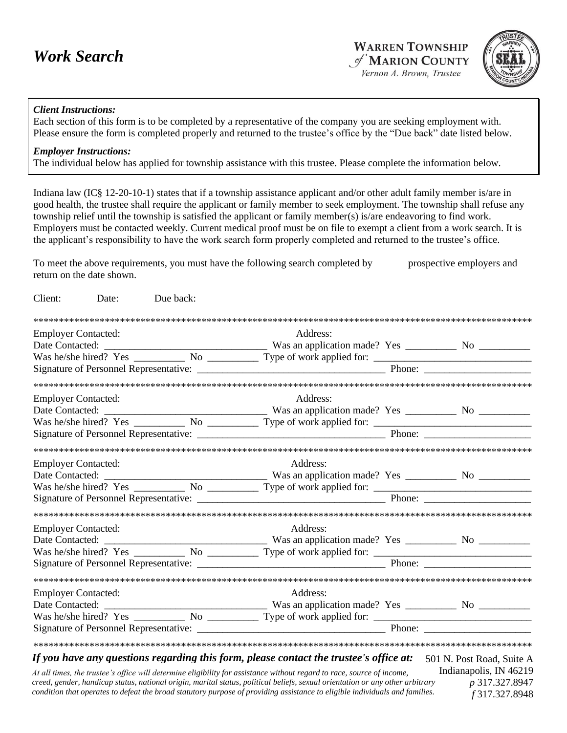## **Work Search**



f 317.327.8948

## **Client Instructions:**

Each section of this form is to be completed by a representative of the company you are seeking employment with. Please ensure the form is completed properly and returned to the trustee's office by the "Due back" date listed below.

## **Employer Instructions:**

The individual below has applied for township assistance with this trustee. Please complete the information below.

Indiana law (IC§ 12-20-10-1) states that if a township assistance applicant and/or other adult family member is/are in good health, the trustee shall require the applicant or family member to seek employment. The township shall refuse any township relief until the township is satisfied the applicant or family member(s) is/are endeavoring to find work. Employers must be contacted weekly. Current medical proof must be on file to exempt a client from a work search. It is the applicant's responsibility to have the work search form properly completed and returned to the trustee's office.

| To meet the above requirements, you must have the following search completed by | prospective employers and |
|---------------------------------------------------------------------------------|---------------------------|
| return on the date shown.                                                       |                           |

| Client:                    | Date: | Due back: |                                                                                                                                               |                           |
|----------------------------|-------|-----------|-----------------------------------------------------------------------------------------------------------------------------------------------|---------------------------|
|                            |       |           |                                                                                                                                               |                           |
| <b>Employer Contacted:</b> |       |           | Address:                                                                                                                                      |                           |
|                            |       |           |                                                                                                                                               |                           |
|                            |       |           |                                                                                                                                               |                           |
|                            |       |           |                                                                                                                                               |                           |
|                            |       |           |                                                                                                                                               |                           |
| <b>Employer Contacted:</b> |       |           | Address:                                                                                                                                      |                           |
|                            |       |           |                                                                                                                                               |                           |
|                            |       |           |                                                                                                                                               |                           |
|                            |       |           |                                                                                                                                               |                           |
|                            |       |           |                                                                                                                                               |                           |
| <b>Employer Contacted:</b> |       |           | Address:                                                                                                                                      |                           |
|                            |       |           |                                                                                                                                               |                           |
|                            |       |           |                                                                                                                                               |                           |
|                            |       |           |                                                                                                                                               |                           |
|                            |       |           |                                                                                                                                               |                           |
| <b>Employer Contacted:</b> |       |           | Address:                                                                                                                                      |                           |
|                            |       |           |                                                                                                                                               |                           |
|                            |       |           |                                                                                                                                               |                           |
|                            |       |           |                                                                                                                                               |                           |
|                            |       |           |                                                                                                                                               |                           |
| <b>Employer Contacted:</b> |       |           | Address:                                                                                                                                      |                           |
|                            |       |           |                                                                                                                                               |                           |
|                            |       |           |                                                                                                                                               |                           |
|                            |       |           |                                                                                                                                               |                           |
|                            |       |           |                                                                                                                                               |                           |
|                            |       |           | If you have any questions regarding this form, please contact the trustee's office at:                                                        | 501 N. Post Road, Suite A |
|                            |       |           | At all times, the trustee's office will determine eligibility for assistance without regard to race, source of income,                        | Indianapolis, IN 46219    |
|                            |       |           | creed, gender, handicap status, national origin, marital status, political beliefs, sexual orientation or any other arbitrary $p317.327.8947$ |                           |

creed, gender, handicap status, national origin, marital status, political beliefs, sexual orientation or any other arbitrary condition that operates to defeat the broad statutory purpose of providing assistance to eligible individuals and families.